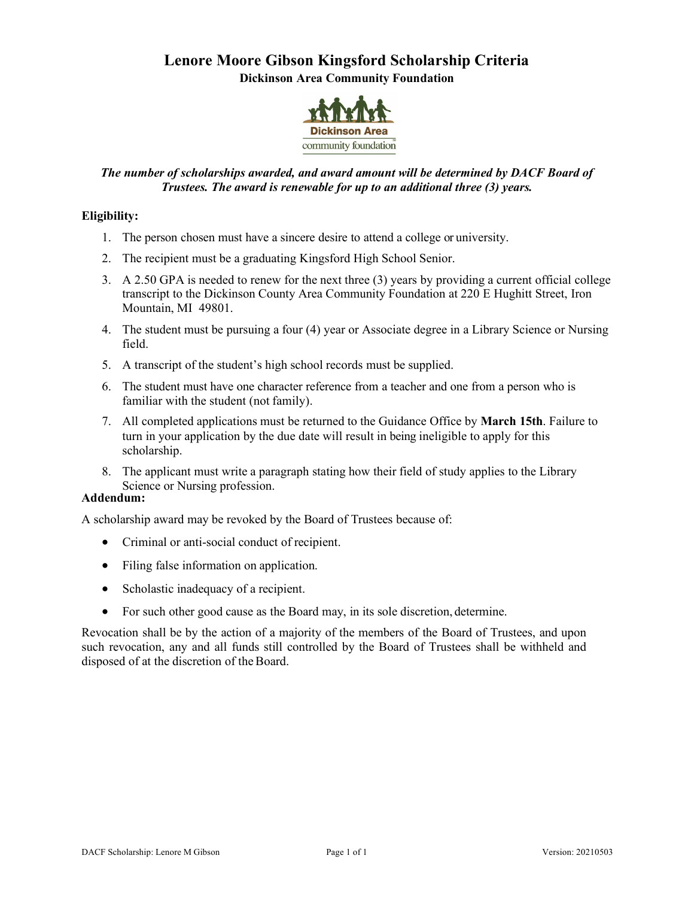# **Lenore Moore Gibson Kingsford Scholarship Criteria Dickinson Area Community Foundation**



## *The number of scholarships awarded, and award amount will be determined by DACF Board of Trustees. The award is renewable for up to an additional three (3) years.*

### **Eligibility:**

- 1. The person chosen must have a sincere desire to attend a college or university.
- 2. The recipient must be a graduating Kingsford High School Senior.
- 3. A 2.50 GPA is needed to renew for the next three (3) years by providing a current official college transcript to the Dickinson County Area Community Foundation at 220 E Hughitt Street, Iron Mountain, MI 49801.
- 4. The student must be pursuing a four (4) year or Associate degree in a Library Science or Nursing field.
- 5. A transcript of the student's high school records must be supplied.
- 6. The student must have one character reference from a teacher and one from a person who is familiar with the student (not family).
- 7. All completed applications must be returned to the Guidance Office by **March 15th**. Failure to turn in your application by the due date will result in being ineligible to apply for this scholarship.
- 8. The applicant must write a paragraph stating how their field of study applies to the Library Science or Nursing profession.

#### **Addendum:**

A scholarship award may be revoked by the Board of Trustees because of:

- Criminal or anti-social conduct of recipient.
- Filing false information on application.
- Scholastic inadequacy of a recipient.
- For such other good cause as the Board may, in its sole discretion, determine.

Revocation shall be by the action of a majority of the members of the Board of Trustees, and upon such revocation, any and all funds still controlled by the Board of Trustees shall be withheld and disposed of at the discretion of the Board.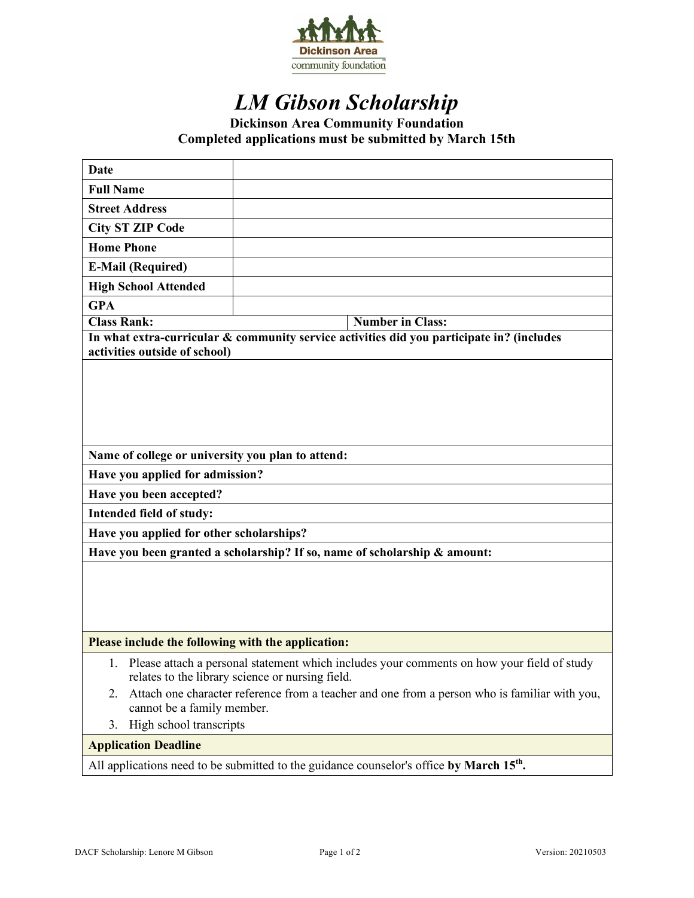

# *LM Gibson Scholarship*

**Dickinson Area Community Foundation Completed applications must be submitted by March 15th**

| <b>Date</b>                                                                                                                                          |                                                                                                      |  |
|------------------------------------------------------------------------------------------------------------------------------------------------------|------------------------------------------------------------------------------------------------------|--|
| <b>Full Name</b>                                                                                                                                     |                                                                                                      |  |
| <b>Street Address</b>                                                                                                                                |                                                                                                      |  |
| <b>City ST ZIP Code</b>                                                                                                                              |                                                                                                      |  |
| <b>Home Phone</b>                                                                                                                                    |                                                                                                      |  |
| <b>E-Mail (Required)</b>                                                                                                                             |                                                                                                      |  |
| <b>High School Attended</b>                                                                                                                          |                                                                                                      |  |
| <b>GPA</b>                                                                                                                                           |                                                                                                      |  |
| <b>Class Rank:</b>                                                                                                                                   | <b>Number in Class:</b>                                                                              |  |
| In what extra-curricular & community service activities did you participate in? (includes<br>activities outside of school)                           |                                                                                                      |  |
|                                                                                                                                                      |                                                                                                      |  |
|                                                                                                                                                      |                                                                                                      |  |
|                                                                                                                                                      |                                                                                                      |  |
|                                                                                                                                                      |                                                                                                      |  |
|                                                                                                                                                      |                                                                                                      |  |
| Name of college or university you plan to attend:                                                                                                    |                                                                                                      |  |
| Have you applied for admission?                                                                                                                      |                                                                                                      |  |
| Have you been accepted?                                                                                                                              |                                                                                                      |  |
| Intended field of study:                                                                                                                             |                                                                                                      |  |
| Have you applied for other scholarships?                                                                                                             |                                                                                                      |  |
| Have you been granted a scholarship? If so, name of scholarship & amount:                                                                            |                                                                                                      |  |
|                                                                                                                                                      |                                                                                                      |  |
|                                                                                                                                                      |                                                                                                      |  |
|                                                                                                                                                      |                                                                                                      |  |
|                                                                                                                                                      |                                                                                                      |  |
| Please include the following with the application:                                                                                                   |                                                                                                      |  |
| Please attach a personal statement which includes your comments on how your field of study<br>1.<br>relates to the library science or nursing field. |                                                                                                      |  |
| Attach one character reference from a teacher and one from a person who is familiar with you,<br>2.<br>cannot be a family member.                    |                                                                                                      |  |
| High school transcripts<br>3.                                                                                                                        |                                                                                                      |  |
| <b>Application Deadline</b>                                                                                                                          |                                                                                                      |  |
|                                                                                                                                                      | All applications need to be submitted to the guidance counselor's office by March 15 <sup>th</sup> . |  |